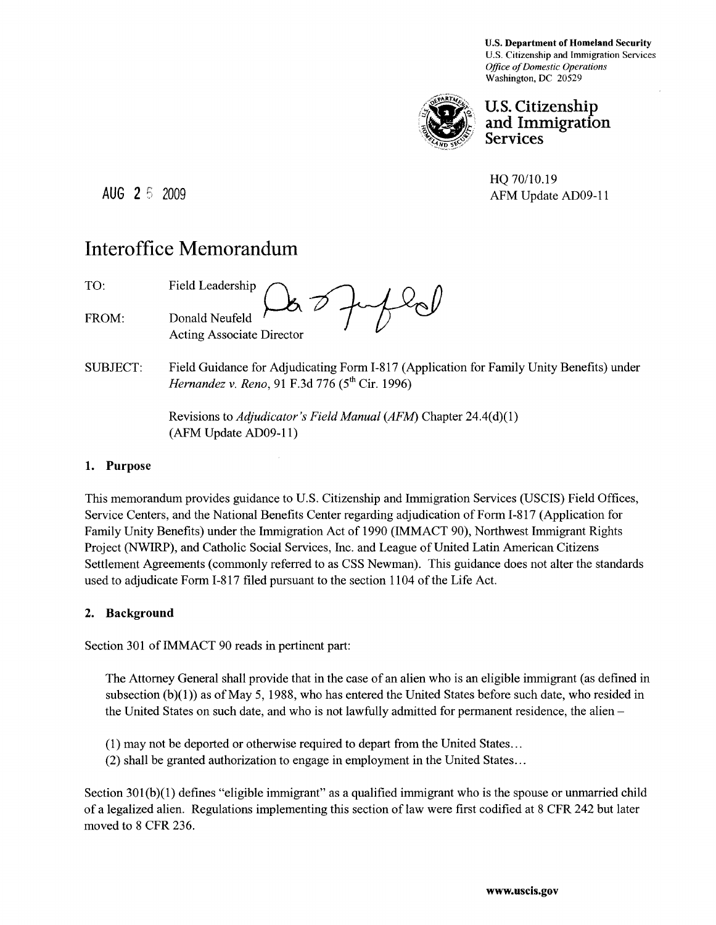U.S. Department of Homeland Security U.S. Citizenship and Immigration Services *Office of Domestic Operations*  Washington, DC 20529



## **U.S. Citizenship** and Immigration **Services**

HQ *70/10.19*  AUG 2 5 2009 AFM Update AD09-11

# **Interoffice Memorandum**

TO: FROM: Field Leadership *n.*  Donald Neufeld <sup>1</sup><br>Acting Associate Director

SUBJECT: Field Guidance for Adjudicating Form 1-817 (Application for Family Unity Benefits) under *Hernandez v. Reno, 91 F.3d 776 (5<sup>th</sup> Cir. 1996)* 

> Revisions to *Adjudicator's Field Manual (AFM)* Chapter 24.4(d)(1) (AFM Update AD09-11)

#### **1. Purpose**

This memorandum provides guidance to U.S. Citizenship and Immigration Services (USCIS) Field Offices, Service Centers, and the National Benefits Center regarding adjudication of Form 1-817 (Application for Family Unity Benefits) under the Immigration Act of 1990 (IMMACT 90), Northwest Immigrant Rights Project (NWIRP), and Catholic Social Services, Inc. and League of United Latin American Citizens Settlement Agreements (commonly referred to as CSS Newman). This guidance does not alter the standards used to adjudicate Form 1-817 filed pursuant to the section 1104 of the Life Act.

#### **2. Background**

Section 301 of IMMACT 90 reads in pertinent part:

The Attorney General shall provide that in the case of an alien who is an eligible immigrant (as defined in subsection  $(b)(1)$ ) as of May 5, 1988, who has entered the United States before such date, who resided in the United States on such date, and who is not lawfully admitted for permanent residence, the alien -

- (1) may not be deported or otherwise required to depart from the United States .. .
- (2) shall be granted authorization to engage in employment in the United States .. .

Section 301(b)(1) defines "eligible immigrant" as a qualified immigrant who is the spouse or unmarried child of a legalized alien. Regulations implementing this section of law were first codified at 8 CFR 242 but later moved to 8 CFR 236.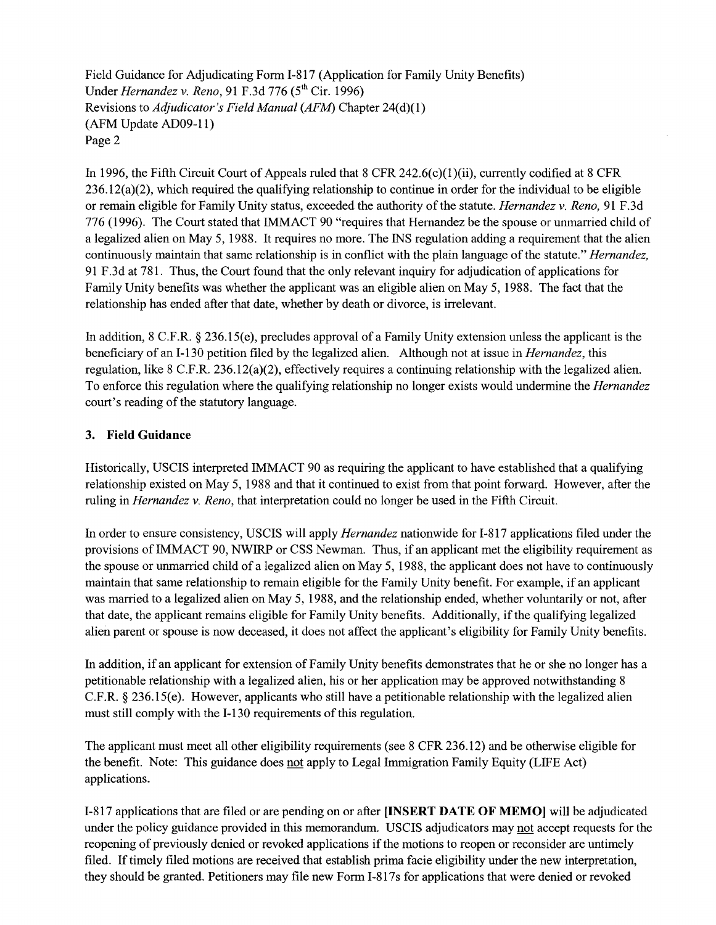Field Guidance for Adjudicating Fonn 1-817 (Application for Family Unity Benefits) Under *Hernandez v. Reno*, 91 F.3d 776 (5<sup>th</sup> Cir. 1996) Revisions to *Adjudicator's Field Manual (AFM)* Chapter 24(d)(I) (AFM Update AD09-ll) Page 2

In 1996, the Fifth Circuit Court of Appeals ruled that 8 CFR 242.6(c)(1)(ii), currently codified at 8 CFR  $236.12(a)(2)$ , which required the qualifying relationship to continue in order for the individual to be eligible or remain eligible for Family Unity status, exceeded the authority of the statute. *Hernandez* v. *Reno,* 91 F.3d 776 (1996). The Court stated that IMMACT 90 "requires that Hernandez be the spouse or unmarried child of a legalized alien on May 5, 1988. It requires no more. The INS regulation adding a requirement that the alien continuously maintain that same relationship is in conflict with the plain language of the statute." *Hernandez,*  91 F .3d at 781. Thus, the Court found that the only relevant inquiry for adjudication of applications for Family Unity benefits was whether the applicant was an eligible alien on May 5, 1988. The fact that the relationship has ended after that date, whether by death or divorce, is irrelevant.

In addition, 8 C.F.R. § 236.15(e), precludes approval of a Family Unity extension unless the applicant is the beneficiary of an 1-130 petition filed by the legalized alien. Although not at issue in *Hernandez,* this regulation, like 8 C.F.R. 236.12(a)(2), effectively requires a continuing relationship with the legalized alien. To enforce this regulation where the qualifying relationship no longer exists would undermine the *Hernandez*  court's reading of the statutory language.

#### 3. **Field Guidance**

Historically, USCIS interpreted IMMACT 90 as requiring the applicant to have established that a qualifying relationship existed on May 5, 1988 and that it continued to exist from that point forward. However, after the ruling in *Hernandez* v. *Reno,* that interpretation could no longer be used in the Fifth Circuit.

In order to ensure consistency, USCIS will apply *Hernandez* nationwide for 1-817 applications filed under the provisions of IMMACT 90, NWIRP or CSS Newman. Thus, if an applicant met the eligibility requirement as the spouse or unmarried child of a legalized alien on May 5, 1988, the applicant does not have to continuously maintain that same relationship to remain eligible for the Family Unity benefit. For example, if an applicant was married to a legalized alien on May 5, 1988, and the relationship ended, whether voluntarily or not, after that date, the applicant remains eligible for Family Unity benefits. Additionally, if the qualifying legalized alien parent or spouse is now deceased, it does not affect the applicant's eligibility for Family Unity benefits.

In addition, if an applicant for extension of Family Unity benefits demonstrates that he or she no longer has a petitionable relationship with a legalized alien, his or her application may be approved notwithstanding 8 C.F.R. § 236.15(e). However, applicants who still have a petitionable relationship with the legalized alien must still comply with the 1-130 requirements of this regulation.

The applicant must meet all other eligibility requirements (see 8 CFR 236.12) and be otherwise eligible for the benefit. Note: This guidance does not apply to Legal Immigration Family Equity (LIFE Act) applications.

1-817 applications that are filed or are pending on or after **[INSERT DATE OF MEMO]** will be adjudicated under the policy guidance provided in this memorandum. USCIS adjudicators may not accept requests for the reopening of previously denied or revoked applications if the motions to reopen or reconsider are untimely filed. If timely filed motions are received that establish prima facie eligibility under the new interpretation, they should be granted. Petitioners may file new Fonn 1-817s for applications that were denied or revoked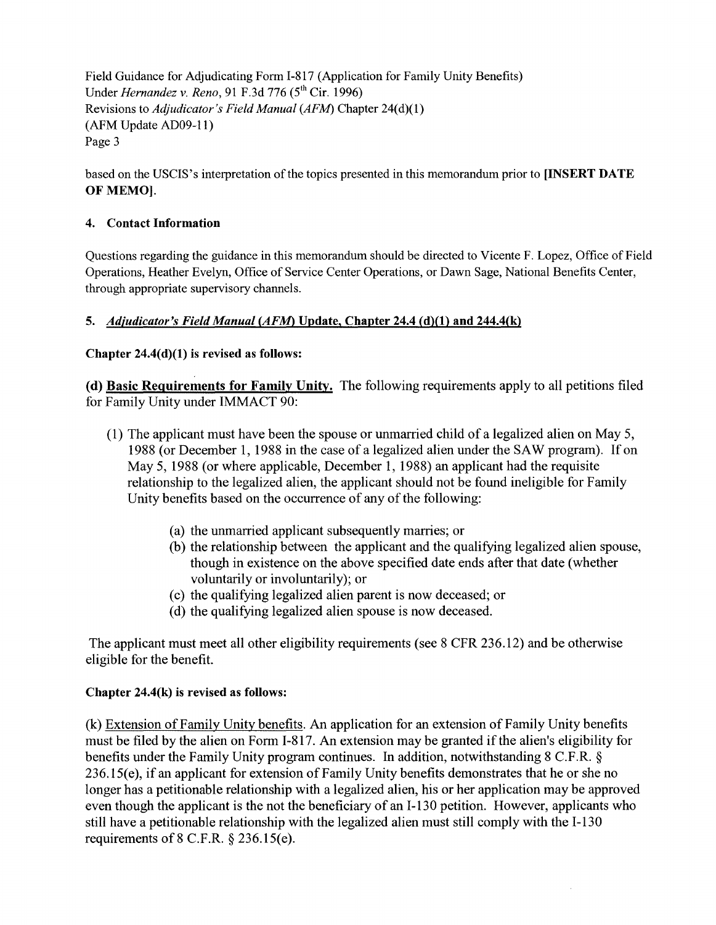Field Guidance for Adjudicating Fonn 1-817 (Application for Family Unity Benefits) Under *Hernandez v. Reno*, 91 F.3d 776 (5<sup>th</sup> Cir. 1996) Revisions to *Adjudicator's Field Manual (AFM)* Chapter 24(d)(1) (AFM Update AD09-11) Page 3

based on the USCIS's interpretation of the topics presented in this memorandum prior to [INSERT DATE OF MEMO).

## 4. Contact Information

Questions regarding the guidance in this memorandum should be directed to Vicente F. Lopez, Office of Field Operations, Heather Evelyn, Office of Service Center Operations, or Dawn Sage, National Benefits Center, through appropriate supervisory channels.

# 5. Adjudicator's Field Manual (AFM) Update, Chapter 24.4 (d)(1) and 244.4(k)

## Chapter 24.4(d)(1) is revised as follows:

(d) Basic Requirements for Family Unity. The following requirements apply to all petitions filed for Family Unity under IMMACT 90:

- (1) The applicant must have been the spouse or unmarried child of a legalized alien on May 5, 1988 (or December 1, 1988 in the case of a legalized alien under the SAW program). If on May 5, 1988 (or where applicable, December 1, 1988) an applicant had the requisite relationship to the legalized alien, the applicant should not be found ineligible for Family Unity benefits based on the occurrence of any of the following:
	- (a) the unmarried applicant subsequently marries; or
	- (b) the relationship between the applicant and the qualifying legalized alien spouse, though in existence on the above specified date ends after that date (whether voluntarily or involuntarily); or
	- ( c) the qualifying legalized alien parent is now deceased; or
	- (d) the qualifying legalized alien spouse is now deceased.

The applicant must meet all other eligibility requirements (see 8 CFR 236.12) and be otherwise eligible for the benefit.

## Chapter 24.4(k) is revised as follows:

(k) Extension of Family Unity benefits. An application for an extension of Family Unity benefits must be filed by the alien on Form 1-817. An extension may be granted if the alien's eligibility for benefits under the Family Unity program continues. In addition, notwithstanding 8 C.F.R. § 236.15(e), if an applicant for extension of Family Unity benefits demonstrates that he or she no longer has a petitionable relationship with a legalized alien, his or her application may be approved even though the applicant is the not the beneficiary of an 1-130 petition. However, applicants who still have a petitionable relationship with the legalized alien must still comply with the 1-130 requirements of  $8$  C.F.R.  $\S$  236.15(e).